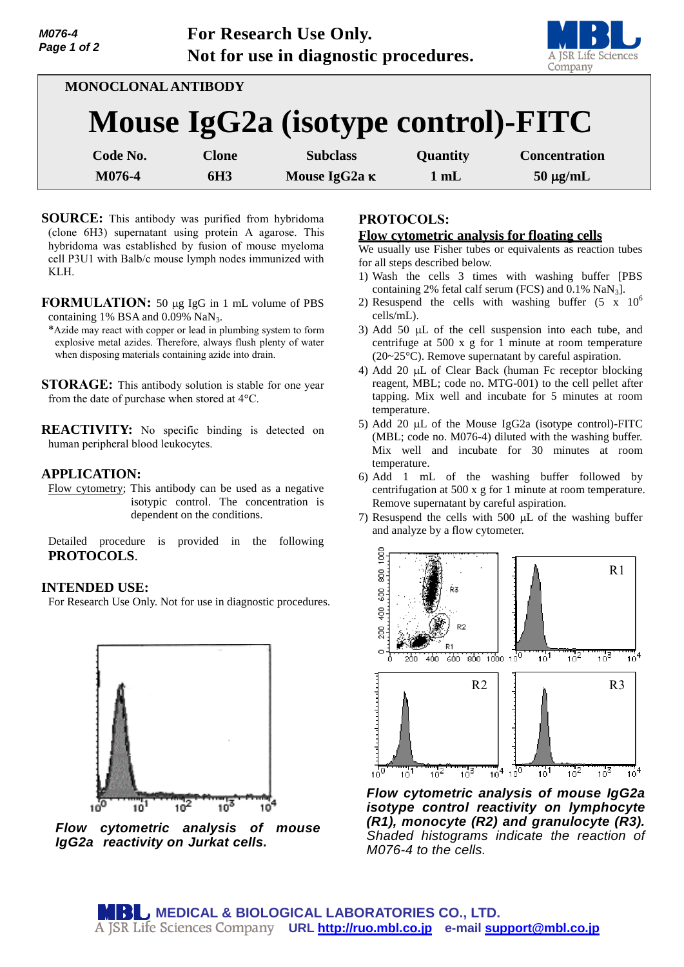

| MONOCLONAL ANTIBODY                |                 |                      |                |                      |
|------------------------------------|-----------------|----------------------|----------------|----------------------|
| Mouse IgG2a (isotype control)-FITC |                 |                      |                |                      |
| Code No.                           | <b>Clone</b>    | <b>Subclass</b>      | Quantity       | <b>Concentration</b> |
| M076-4                             | 6H <sub>3</sub> | Mouse IgG2a $\kappa$ | $1 \text{ mL}$ | $50 \mu g/mL$        |

- **SOURCE:** This antibody was purified from hybridoma (clone 6H3) supernatant using protein A agarose. This hybridoma was established by fusion of mouse myeloma cell P3U1 with Balb/c mouse lymph nodes immunized with KLH.
- **FORMULATION:** 50 µg IgG in 1 mL volume of PBS containing 1% BSA and 0.09% NaN<sub>3</sub>.
- \*Azide may react with copper or lead in plumbing system to form explosive metal azides. Therefore, always flush plenty of water when disposing materials containing azide into drain.

**STORAGE:** This antibody solution is stable for one year from the date of purchase when stored at 4°C.

**REACTIVITY:** No specific binding is detected on human peripheral blood leukocytes.

## **APPLICATION:**

Flow cytometry; This antibody can be used as a negative isotypic control. The concentration is dependent on the conditions.

Detailed procedure is provided in the following **PROTOCOLS**.

### **INTENDED USE:**

For Research Use Only. Not for use in diagnostic procedures.



*Flow cytometric analysis of mouse IgG2a reactivity on Jurkat cells.* 

# **PROTOCOLS:**

### **Flow cytometric analysis for floating cells**

We usually use Fisher tubes or equivalents as reaction tubes for all steps described below.

- 1) Wash the cells 3 times with washing buffer [PBS containing 2% fetal calf serum (FCS) and  $0.1\%$  NaN<sub>3</sub>].
- 2) Resuspend the cells with washing buffer  $(5 \times 10^6$ cells/mL).
- 3) Add 50  $\mu$ L of the cell suspension into each tube, and centrifuge at 500 x g for 1 minute at room temperature (20~25°C). Remove supernatant by careful aspiration.
- 4) Add 20  $\mu$ L of Clear Back (human Fc receptor blocking reagent, MBL; code no. MTG-001) to the cell pellet after tapping. Mix well and incubate for 5 minutes at room temperature.
- 5) Add 20  $\mu$ L of the Mouse IgG2a (isotype control)-FITC (MBL; code no. M076-4) diluted with the washing buffer. Mix well and incubate for 30 minutes at room temperature.
- 6) Add 1 mL of the washing buffer followed by centrifugation at 500 x g for 1 minute at room temperature. Remove supernatant by careful aspiration.
- 7) Resuspend the cells with 500  $\mu$ L of the washing buffer and analyze by a flow cytometer.



*Flow cytometric analysis of mouse IgG2a isotype control reactivity on lymphocyte (R1), monocyte (R2) and granulocyte (R3). Shaded histograms indicate the reaction of M076-4 to the cells.*